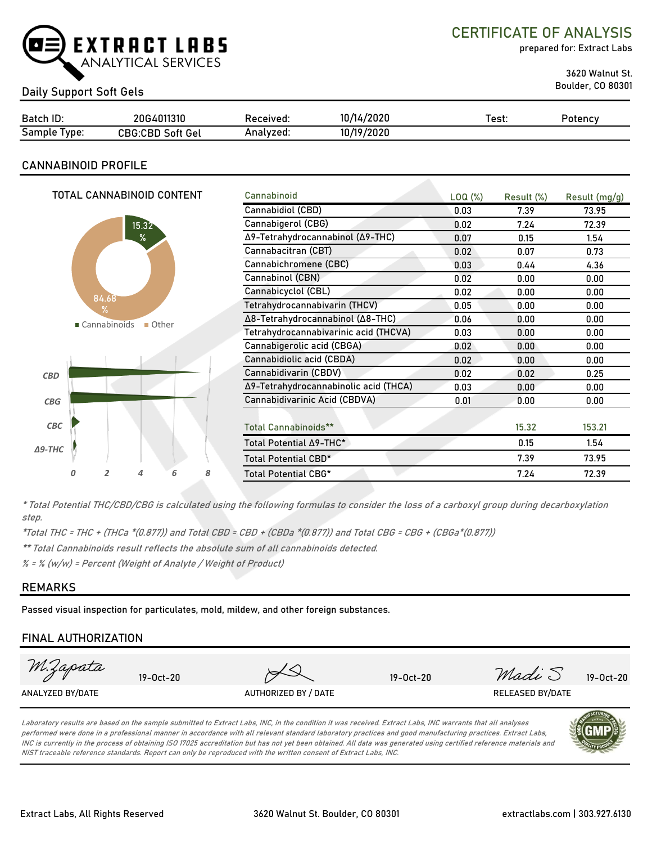

CERTIFICATE OF ANALYSIS

prepared for: Extract Labs

3620 Walnut St.

## Boulder, CO 80301 Daily Support Soft Gels

| Batch ID:      | 20G4011310             | Received: | 14/2020   | est: | Potency |
|----------------|------------------------|-----------|-----------|------|---------|
| Sample<br>vpe: | CBG:CBD<br>Gel<br>Soft | Analvzed: | )/19/2020 |      |         |

### **CANNABINOID PROFILE**

| TOTAL CANNABINOID CONTENT | Cannabinoid                           | LOQ( <sub>%</sub> ) | Result (%) | Result (mg/g) |
|---------------------------|---------------------------------------|---------------------|------------|---------------|
|                           | Cannabidiol (CBD)                     | 0.03                | 7.39       | 73.95         |
| 15.32                     | Cannabigerol (CBG)                    | 0.02                | 7.24       | 72.39         |
| %                         | Δ9-Tetrahydrocannabinol (Δ9-THC)      | 0.07                | 0.15       | 1.54          |
|                           | Cannabacitran (CBT)                   | 0.02                | 0.07       | 0.73          |
|                           | Cannabichromene (CBC)                 | 0.03                | 0.44       | 4.36          |
|                           | Cannabinol (CBN)                      | 0.02                | 0.00       | 0.00          |
| 84.68                     | Cannabicyclol (CBL)                   | 0.02                | 0.00       | 0.00          |
| $\frac{9}{6}$             | Tetrahydrocannabivarin (THCV)         | 0.05                | 0.00       | 0.00          |
| ■ Cannabinoids<br>Other   | Δ8-Tetrahydrocannabinol (Δ8-THC)      | 0.06                | 0.00       | 0.00          |
|                           | Tetrahydrocannabivarinic acid (THCVA) | 0.03                | 0.00       | 0.00          |
|                           | Cannabigerolic acid (CBGA)            | 0.02                | 0.00       | 0.00          |
|                           | Cannabidiolic acid (CBDA)             | 0.02                | 0.00       | 0.00          |
| <b>CBD</b>                | Cannabidivarin (CBDV)                 | 0.02                | 0.02       | 0.25          |
|                           | Δ9-Tetrahydrocannabinolic acid (THCA) | 0.03                | 0.00       | 0.00          |
| CBG                       | Cannabidivarinic Acid (CBDVA)         | 0.01                | 0.00       | 0.00          |
|                           |                                       |                     |            |               |
| CBC                       | <b>Total Cannabinoids**</b>           |                     | 15.32      | 153.21        |
| $\Delta$ 9-THC            | Total Potential ∆9-THC*               |                     | 0.15       | 1.54          |
|                           | Total Potential CBD*                  |                     | 7.39       | 73.95         |
| 2<br>8<br>6<br>О<br>4     | Total Potential CBG*                  |                     | 7.24       | 72.39         |

\* Total Potential THC/CBD/CBG is calculated using the following formulas to consider the loss of a carboxyl group during decarboxylation step.

\*Total THC = THC + (THCa \*(0.877)) and Total CBD = CBD + (CBDa \*(0.877)) and Total CBG = CBG + (CBGa\*(0.877))

\*\* Total Cannabinoids result reflects the absolute sum of all cannabinoids detected.

% = % (w/w) = Percent (Weight of Analyte / Weight of Product)

### **REMARKS**

Passed visual inspection for particulates, mold, mildew, and other foreign substances.

## **FINAL AUTHORIZATION**



Laboratory results are based on the sample submitted to Extract Labs, INC, in the condition it was received. Extract Labs, INC warrants that all analyses performed were done in a professional manner in accordance with all relevant standard laboratory practices and good manufacturing practices. Extract Labs, INC is currently in the process of obtaining ISO 17025 accreditation but has not yet been obtained. All data was generated using certified reference materials and NIST traceable reference standards. Report can only be reproduced with the written consent of Extract Labs, INC.

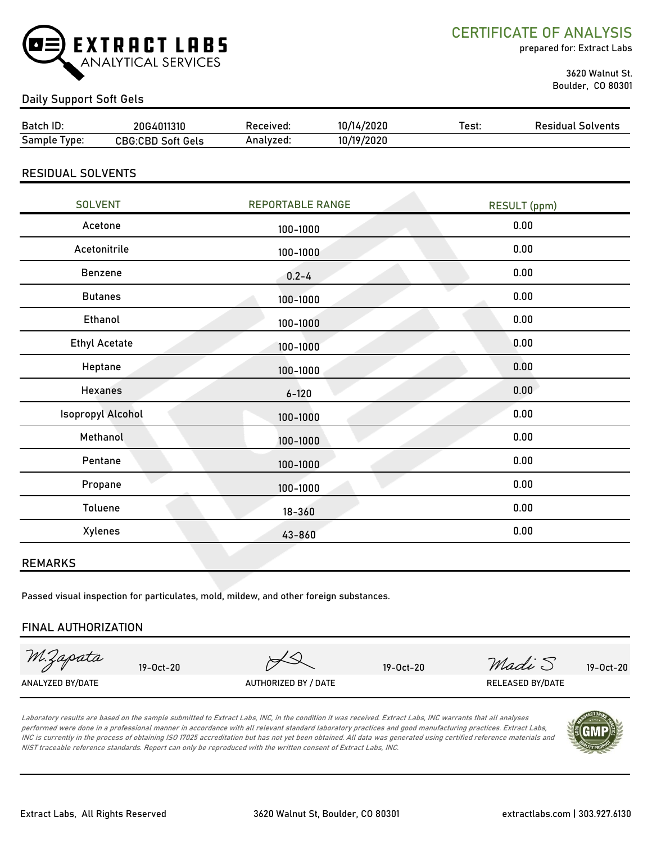

CERTIFICATE OF ANALYSIS

prepared for: Extract Labs

 3620 Walnut St. Boulder, CO 80301

### Daily Support Soft Gels

| Batch ID:                | 20G4011310               | Received:               | 10/14/2020 | Test:               | <b>Residual Solvents</b> |
|--------------------------|--------------------------|-------------------------|------------|---------------------|--------------------------|
| Sample Type:             | <b>CBG:CBD Soft Gels</b> | Analyzed:               | 10/19/2020 |                     |                          |
| <b>RESIDUAL SOLVENTS</b> |                          |                         |            |                     |                          |
| <b>SOLVENT</b>           |                          | <b>REPORTABLE RANGE</b> |            | <b>RESULT</b> (ppm) |                          |
| Acetone                  |                          | 100-1000                |            | 0.00                |                          |
| Acetonitrile             |                          | 100-1000                |            | 0.00                |                          |

 $0.2<sup>2</sup>$ 

| Benzene                  | $0.2 - 4$  | 0.00 |
|--------------------------|------------|------|
| <b>Butanes</b>           | 100-1000   | 0.00 |
| Ethanol                  | 100-1000   | 0.00 |
| <b>Ethyl Acetate</b>     | 100-1000   | 0.00 |
| Heptane                  | 100-1000   | 0.00 |
| <b>Hexanes</b>           | $6 - 120$  | 0.00 |
| <b>Isopropyl Alcohol</b> | 100-1000   | 0.00 |
| Methanol                 | 100-1000   | 0.00 |
| Pentane                  | 100-1000   | 0.00 |
| Propane                  | 100-1000   | 0.00 |
| Toluene                  | $18 - 360$ | 0.00 |
| Xylenes                  | 43-860     | 0.00 |

#### REMARKS

Passed visual inspection for particulates, mold, mildew, and other foreign substances.

### FINAL AUTHORIZATION

M.Zapata

19-Oct-20 19-Oct-20 19-Oct-20  $\mathcal{M}$  19-Oct-20  $\mathcal{M}$   $\mathcal{M}$   $\mathcal{M}$ 

ANALYZED BY/DATE AUTHORIZED BY / DATE AUTHORIZED BY / DATE RELEASED BY/DATE

Laboratory results are based on the sample submitted to Extract Labs, INC, in the condition it was received. Extract Labs, INC warrants that all analyses performed were done in a professional manner in accordance with all relevant standard laboratory practices and good manufacturing practices. Extract Labs, INC is currently in the process of obtaining ISO 17025 accreditation but has not yet been obtained. All data was generated using certified reference materials and NIST traceable reference standards. Report can only be reproduced with the written consent of Extract Labs, INC.

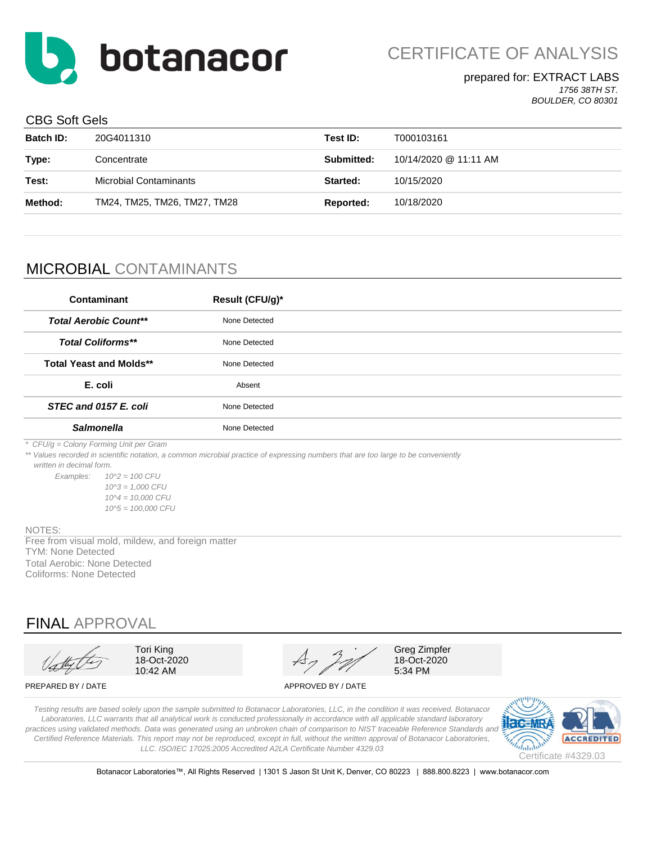

#### prepared for: EXTRACT LABS *1756 38TH ST.*

*BOULDER, CO 80301*

### CBG Soft Gels

| <b>Batch ID:</b> | 20G4011310                    | Test ID:   | T000103161            |
|------------------|-------------------------------|------------|-----------------------|
| Type:            | Concentrate                   | Submitted: | 10/14/2020 @ 11:11 AM |
| Test:            | <b>Microbial Contaminants</b> | Started:   | 10/15/2020            |
| Method:          | TM24, TM25, TM26, TM27, TM28  | Reported:  | 10/18/2020            |
|                  |                               |            |                       |

## MICROBIAL CONTAMINANTS

| Contaminant                    | Result (CFU/g)* |
|--------------------------------|-----------------|
| <b>Total Aerobic Count**</b>   | None Detected   |
| <b>Total Coliforms**</b>       | None Detected   |
| <b>Total Yeast and Molds**</b> | None Detected   |
| E. coli                        | Absent          |
| STEC and 0157 E. coli          | None Detected   |
| <b>Salmonella</b>              | None Detected   |

*\* CFU/g = Colony Forming Unit per Gram*

\*\* Values recorded in scientific notation, a common microbial practice of expressing numbers that are too large to be conveniently

 *written in decimal form.*

*Examples: 10^2 = 100 CFU 10^3 = 1,000 CFU 10^4 = 10,000 CFU 10^5 = 100,000 CFU*

#### NOTES:

Total Aerobic: None Detected Coliforms: None Detected TYM: None Detected Free from visual mold, mildew, and foreign matter

## FINAL APPROVAL



Tori King 18-Oct-2020 10:42 AM

Greg Zimpfer 18-Oct-2020 5:34 PM

### PREPARED BY / DATE APPROVED BY / DATE

*Testing results are based solely upon the sample submitted to Botanacor Laboratories, LLC, in the condition it was received. Botanacor Laboratories, LLC warrants that all analytical work is conducted professionally in accordance with all applicable standard laboratory*  practices using validated methods. Data was generated using an unbroken chain of comparison to NIST traceable Reference Standards and *Certified Reference Materials. This report may not be reproduced, except in full, without the written approval of Botanacor Laboratories, LLC. ISO/IEC 17025:2005 Accredited A2LA Certificate Number 4329.03*



Botanacor Laboratories™, All Rights Reserved | 1301 S Jason St Unit K, Denver, CO 80223 | 888.800.8223 | www.botanacor.com